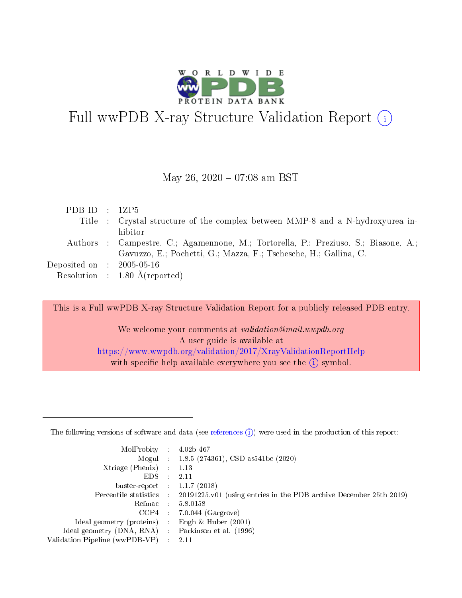

# Full wwPDB X-ray Structure Validation Report  $(i)$

### May 26,  $2020 - 07:08$  am BST

| PDB ID : $12P5$                                           |                                                                                     |
|-----------------------------------------------------------|-------------------------------------------------------------------------------------|
|                                                           | Title : Crystal structure of the complex between MMP-8 and a N-hydroxyurea in-      |
|                                                           | hibitor                                                                             |
|                                                           | Authors : Campestre, C.; Agamennone, M.; Tortorella, P.; Preziuso, S.; Biasone, A.; |
|                                                           | Gavuzzo, E.; Pochetti, G.; Mazza, F.; Tschesche, H.; Gallina, C.                    |
| $\rm Deposited\; on \;\; : \;\; 2005\text{-}05\text{-}16$ |                                                                                     |
|                                                           | Resolution : $1.80 \text{ Å}$ (reported)                                            |

This is a Full wwPDB X-ray Structure Validation Report for a publicly released PDB entry.

We welcome your comments at validation@mail.wwpdb.org A user guide is available at <https://www.wwpdb.org/validation/2017/XrayValidationReportHelp> with specific help available everywhere you see the  $(i)$  symbol.

The following versions of software and data (see [references](https://www.wwpdb.org/validation/2017/XrayValidationReportHelp#references)  $(1)$ ) were used in the production of this report:

| MolProbity :                   |               | $4.02b - 467$                                                               |
|--------------------------------|---------------|-----------------------------------------------------------------------------|
|                                |               | Mogul : $1.8.5$ (274361), CSD as 541be (2020)                               |
| Xtriage (Phenix)               | $\mathcal{L}$ | 1.13                                                                        |
| EDS.                           |               | 2.11                                                                        |
| buster-report : $1.1.7$ (2018) |               |                                                                             |
| Percentile statistics :        |               | $20191225 \text{v}01$ (using entries in the PDB archive December 25th 2019) |
| Refmac :                       |               | 5.8.0158                                                                    |
| CCP4                           |               | $7.0.044$ (Gargrove)                                                        |
| Ideal geometry (proteins) :    |               | Engh $\&$ Huber (2001)                                                      |
| Ideal geometry (DNA, RNA) :    |               | Parkinson et al. (1996)                                                     |
| Validation Pipeline (wwPDB-VP) | $\mathcal{L}$ | 2.11                                                                        |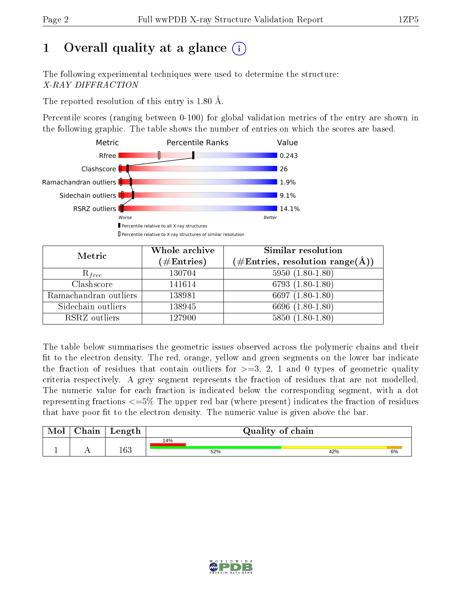# 1 [O](https://www.wwpdb.org/validation/2017/XrayValidationReportHelp#overall_quality)verall quality at a glance  $(i)$

The following experimental techniques were used to determine the structure: X-RAY DIFFRACTION

The reported resolution of this entry is 1.80 Å.

Percentile scores (ranging between 0-100) for global validation metrics of the entry are shown in the following graphic. The table shows the number of entries on which the scores are based.



| Metric                | Whole archive        | Similar resolution                                                        |
|-----------------------|----------------------|---------------------------------------------------------------------------|
|                       | $(\#\text{Entries})$ | $(\#\text{Entries},\,\text{resolution}\,\,\text{range}(\textup{\AA})\, )$ |
| $R_{free}$            | 130704               | $5950(1.80-1.80)$                                                         |
| Clashscore            | 141614               | $6793(1.80-1.80)$                                                         |
| Ramachandran outliers | 138981               | 6697 $(1.80-1.80)$                                                        |
| Sidechain outliers    | 138945               | 6696 (1.80-1.80)                                                          |
| RSRZ outliers         | 127900               | $5850(1.80-1.80)$                                                         |

The table below summarises the geometric issues observed across the polymeric chains and their fit to the electron density. The red, orange, yellow and green segments on the lower bar indicate the fraction of residues that contain outliers for  $>=3, 2, 1$  and 0 types of geometric quality criteria respectively. A grey segment represents the fraction of residues that are not modelled. The numeric value for each fraction is indicated below the corresponding segment, with a dot representing fractions  $\epsilon=5\%$  The upper red bar (where present) indicates the fraction of residues that have poor fit to the electron density. The numeric value is given above the bar.

| Mol       | $\Delta$ hain | Length  |     | Quality of chain |  |     |    |  |  |
|-----------|---------------|---------|-----|------------------|--|-----|----|--|--|
|           |               |         | 14% |                  |  |     |    |  |  |
| <u>д.</u> | . .           | $163\,$ |     | 52%              |  | 42% | 6% |  |  |

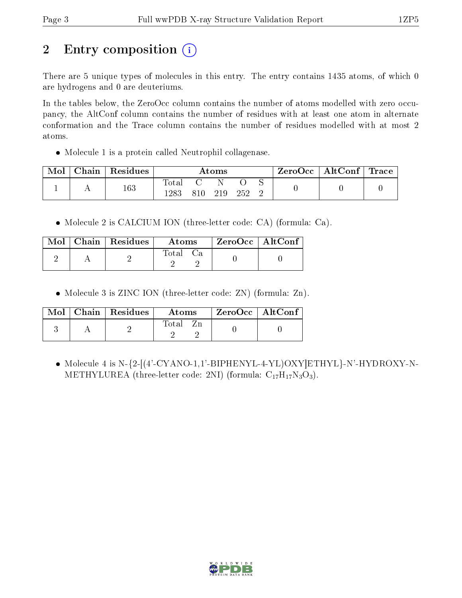# 2 Entry composition  $\left( \cdot \right)$

There are 5 unique types of molecules in this entry. The entry contains 1435 atoms, of which 0 are hydrogens and 0 are deuteriums.

In the tables below, the ZeroOcc column contains the number of atoms modelled with zero occupancy, the AltConf column contains the number of residues with at least one atom in alternate conformation and the Trace column contains the number of residues modelled with at most 2 atoms.

Molecule 1 is a protein called Neutrophil collagenase.

| Mol | $\Delta$ hain | Residues | Atoms        |      |     | ZeroOcc   AltConf   Trace |  |  |  |
|-----|---------------|----------|--------------|------|-----|---------------------------|--|--|--|
|     |               | 163      | Tota<br>1283 | 810- | 219 | 252                       |  |  |  |

Molecule 2 is CALCIUM ION (three-letter code: CA) (formula: Ca).

|  | $Mol$   Chain   Residues | Atoms    | $ZeroOcc \   \$ AltConf |
|--|--------------------------|----------|-------------------------|
|  |                          | Total Ca |                         |

• Molecule 3 is ZINC ION (three-letter code: ZN) (formula: Zn).

| Mol | $\vert$ Chain $\vert$ Residues $\vert$ | Atoms | $ZeroOcc$   AltConf |  |
|-----|----------------------------------------|-------|---------------------|--|
|     |                                        | Total |                     |  |

 $\bullet$  Molecule 4 is N-{2-[(4'-CYANO-1,1'-BIPHENYL-4-YL)OXY]ETHYL}-N'-HYDROXY-N-METHYLUREA (three-letter code: 2NI) (formula:  $C_{17}H_{17}N_3O_3$ ).

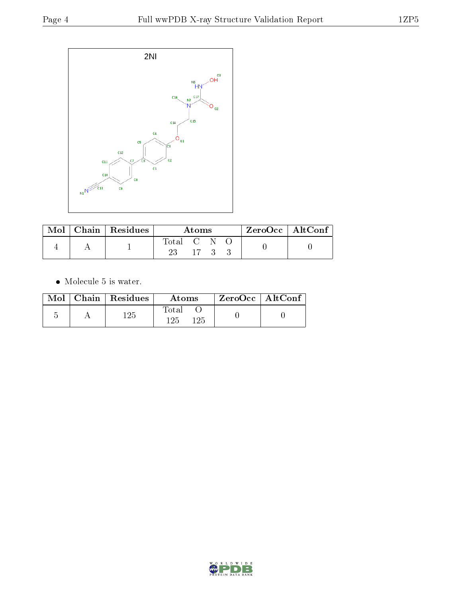

|  | $_{\shortmid}$ Mol $\mid$ Chain $\mid$ Residues $^{\shortmid}$ | Atoms     |           |  | $\mid$ ZeroOcc $\mid$ AltConf $\mid$ |  |
|--|----------------------------------------------------------------|-----------|-----------|--|--------------------------------------|--|
|  |                                                                | Total C N |           |  |                                      |  |
|  |                                                                |           | $-17 - 3$ |  |                                      |  |

 $\bullet\,$  Molecule 5 is water.

| Mol | $ $ Chain $ $ Residues | Atoms                | ZeroOcc   AltConf |  |
|-----|------------------------|----------------------|-------------------|--|
|     | 125                    | Total<br>125<br>1 ດະ |                   |  |

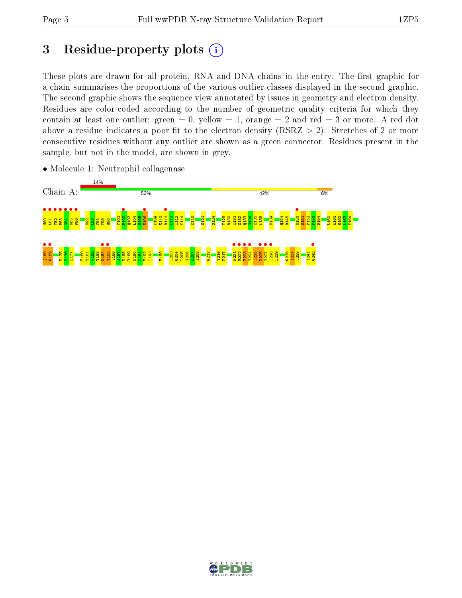# 3 Residue-property plots  $(i)$

These plots are drawn for all protein, RNA and DNA chains in the entry. The first graphic for a chain summarises the proportions of the various outlier classes displayed in the second graphic. The second graphic shows the sequence view annotated by issues in geometry and electron density. Residues are color-coded according to the number of geometric quality criteria for which they contain at least one outlier: green  $= 0$ , yellow  $= 1$ , orange  $= 2$  and red  $= 3$  or more. A red dot above a residue indicates a poor fit to the electron density (RSRZ  $> 2$ ). Stretches of 2 or more consecutive residues without any outlier are shown as a green connector. Residues present in the sample, but not in the model, are shown in grey.



• Molecule 1: Neutrophil collagenase

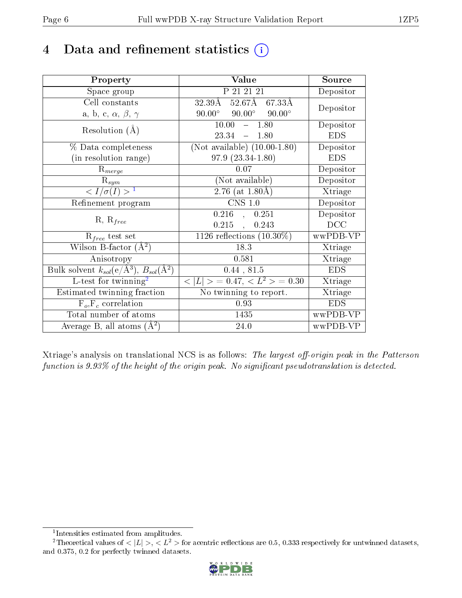# 4 Data and refinement statistics  $(i)$

| Property                                                             | Value                                            | Source     |
|----------------------------------------------------------------------|--------------------------------------------------|------------|
| Space group                                                          | P 21 21 21                                       | Depositor  |
| Cell constants                                                       | $32.39\text{\AA}$<br>52.67Å 67.33Å               | Depositor  |
| a, b, c, $\alpha$ , $\beta$ , $\gamma$                               | $90.00^{\circ}$ $90.00^{\circ}$<br>$90.00^\circ$ |            |
| Resolution $(A)$                                                     | 10.00<br>$-1.80$                                 | Depositor  |
|                                                                      | $23.34 - 1.80$                                   | <b>EDS</b> |
| % Data completeness                                                  | (Not available) $(10.00-1.80)$                   | Depositor  |
| (in resolution range)                                                | $97.9(23.34-1.80)$                               | <b>EDS</b> |
| $R_{merge}$                                                          | 0.07                                             | Depositor  |
| $\mathbf{R}_{sym}$                                                   | (Not available)                                  | Depositor  |
| $\sqrt{I/\sigma}(I) > 1$                                             | $\overline{2.76}$ (at $1.80\text{\AA})$          | Xtriage    |
| Refinement program                                                   | $CNS$ 1.0                                        | Depositor  |
| $R, R_{free}$                                                        | $0.216$ , $0.251$                                | Depositor  |
|                                                                      | $0.215$ ,<br>0.243                               | DCC        |
| $R_{free}$ test set                                                  | 1126 reflections $(10.30\%)$                     | wwPDB-VP   |
| Wilson B-factor $(A^2)$                                              | 18.3                                             | Xtriage    |
| Anisotropy                                                           | 0.581                                            | Xtriage    |
| Bulk solvent $k_{sol}(e/\mathring{A}^3)$ , $B_{sol}(\mathring{A}^2)$ | 0.44, 81.5                                       | <b>EDS</b> |
| L-test for twinning <sup>2</sup>                                     | $< L >$ = 0.47, $< L^2 >$ = 0.30                 | Xtriage    |
| Estimated twinning fraction                                          | No twinning to report.                           | Xtriage    |
| $F_o, F_c$ correlation                                               | 0.93                                             | <b>EDS</b> |
| Total number of atoms                                                | 1435                                             | wwPDB-VP   |
| Average B, all atoms $(A^2)$                                         | 24.0                                             | wwPDB-VP   |

Xtriage's analysis on translational NCS is as follows: The largest off-origin peak in the Patterson function is  $9.93\%$  of the height of the origin peak. No significant pseudotranslation is detected.

<sup>&</sup>lt;sup>2</sup>Theoretical values of  $\langle |L| \rangle$ ,  $\langle L^2 \rangle$  for acentric reflections are 0.5, 0.333 respectively for untwinned datasets, and 0.375, 0.2 for perfectly twinned datasets.



<span id="page-5-1"></span><span id="page-5-0"></span><sup>1</sup> Intensities estimated from amplitudes.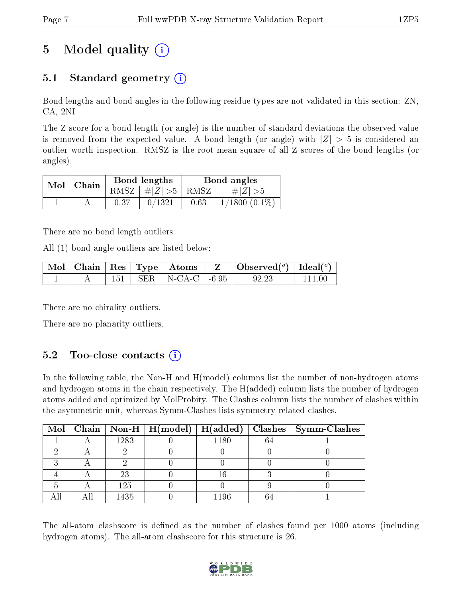# 5 Model quality  $(i)$

### 5.1 Standard geometry  $\overline{()}$

Bond lengths and bond angles in the following residue types are not validated in this section: ZN, CA, 2NI

The Z score for a bond length (or angle) is the number of standard deviations the observed value is removed from the expected value. A bond length (or angle) with  $|Z| > 5$  is considered an outlier worth inspection. RMSZ is the root-mean-square of all Z scores of the bond lengths (or angles).

| $Mol$   Chain | Bond lengths                            | Bond angles |                 |  |
|---------------|-----------------------------------------|-------------|-----------------|--|
|               | RMSZ $\mid \#  Z  > 5 \mid$ RMSZ $\mid$ |             | $\# Z  > 5$     |  |
|               | 0/1321                                  | 0.63        | $1/1800(0.1\%)$ |  |

There are no bond length outliers.

All (1) bond angle outliers are listed below:

|  |  |                              | $\mid$ Mol $\mid$ Chain $\mid$ Res $\mid$ Type $\mid$ Atoms $\mid$ Z $\mid$ Observed( <sup>o</sup> ) $\mid$ Ideal( <sup>o</sup> ) |                              |
|--|--|------------------------------|-----------------------------------------------------------------------------------------------------------------------------------|------------------------------|
|  |  | $151$   SER   N-CA-C   -6.95 | 92.23                                                                                                                             | $^{\circ}$ 111 00 $^{\circ}$ |

There are no chirality outliers.

There are no planarity outliers.

### $5.2$  Too-close contacts  $(i)$

In the following table, the Non-H and H(model) columns list the number of non-hydrogen atoms and hydrogen atoms in the chain respectively. The H(added) column lists the number of hydrogen atoms added and optimized by MolProbity. The Clashes column lists the number of clashes within the asymmetric unit, whereas Symm-Clashes lists symmetry related clashes.

|  |      | Mol   Chain   Non-H   H(model)   H(added) |      | $\mid$ Clashes $\mid$ Symm-Clashes |
|--|------|-------------------------------------------|------|------------------------------------|
|  | 1283 |                                           | 1180 |                                    |
|  |      |                                           |      |                                    |
|  |      |                                           |      |                                    |
|  | 23   |                                           |      |                                    |
|  | 125  |                                           |      |                                    |
|  | 1435 |                                           | 1196 |                                    |

The all-atom clashscore is defined as the number of clashes found per 1000 atoms (including hydrogen atoms). The all-atom clashscore for this structure is 26.

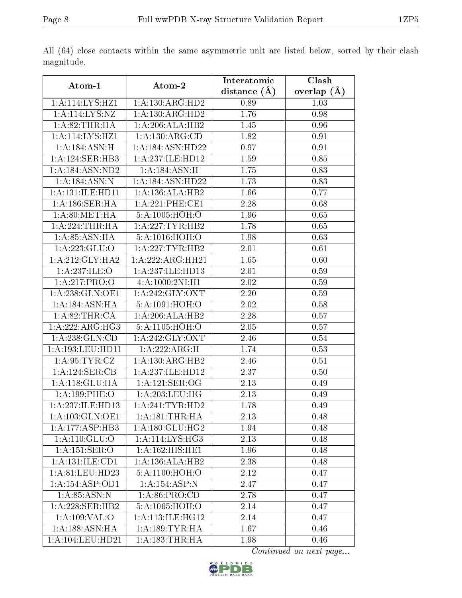|                              |                                    | Interatomic      | Clash         |
|------------------------------|------------------------------------|------------------|---------------|
| Atom-1                       | Atom-2                             | distance $(\AA)$ | overlap $(A)$ |
| 1:A:114:LYS:HZ1              | 1: A: 130: ARG: HD2                | 0.89             | 1.03          |
| 1: A: 114: LYS: NZ           | 1: A: 130: ARG: HD2                | 1.76             | 0.98          |
| 1: A:82:THR:HA               | 1:A:206:ALA:HB2                    | 1.45             | 0.96          |
| 1:A:114:LYS:HZ1              | 1:A:130:ARG:CD                     | 1.82             | 0.91          |
| 1:A:184:ASN:H                | 1:A:184:ASN:HD22                   | 0.97             | 0.91          |
| 1:A:124:SER:HB3              | 1:A:237:ILE:HD12                   | 1.59             | 0.85          |
| 1:A:184:ASN:ND2              | 1:A:184:ASN:H                      | 1.75             | 0.83          |
| 1: A: 184: ASN: N            | 1:A:184:ASN:HD22                   | 1.73             | 0.83          |
| 1:A:131:ILE:HD11             | 1:A:136:ALA:HB2                    | 1.66             | 0.77          |
| 1: A: 186: SER: HA           | 1: A:221:PHE:CE1                   | 2.28             | 0.68          |
| 1: A:80:MET:HA               | 5: A:1005: HOH:O                   | 1.96             | 0.65          |
| 1: A:224:THR:HA              | 1: A: 227: TYR: HB2                | 1.78             | 0.65          |
| 1: A:85: ASN:HA              | 5: A: 1016: HOH:O                  | 1.98             | 0.63          |
| 1: A: 223: GLU:O             | 1:A:227:TYR:HB2                    | 2.01             | 0.61          |
| 1: A:212: GLY:HA2            | 1:A:222:ARG:HH21                   | 1.65             | 0.60          |
| 1: A:237: ILE: O             | 1:A:237:ILE:HD13                   | 2.01             | 0.59          |
| 1:A:217:PRO:O                | 4:A:1000:2NI:H1                    | 2.02             | 0.59          |
| 1:A:238:GLN:OE1              | 1: A:242: GLY: OXT                 | 2.20             | 0.59          |
| 1:A:184:ASN:HA               | 5:A:1091:HOH:O                     | 2.02             | 0.58          |
| 1: A:82:THR:CA               | 1:A:206:ALA:HB2                    | 2.28             | 0.57          |
| 1:A:222:ARG:HG3              | 5:A:1105:HOH:O                     | 2.05             | 0.57          |
| 1: A:238: GLN:CD             | 1: A:242: GLY: OXT                 | 2.46             | 0.54          |
| 1:A:193:LEU:HD11             | 1:A:222:ARG:H                      | 1.74             | 0.53          |
| 1: A:95:TYR:CZ               | 1:A:130:ARG:HB2                    | 2.46             | 0.51          |
| 1:A:124:SER:CB               | 1:A:237:ILE:HD12                   | 2.37             | 0.50          |
| 1: A:118: GLU:HA             | 1: A: 121: SER: OG                 | 2.13             | 0.49          |
| 1:A:199:PHE:O                | 1:A:203:LEU:HG                     | 2.13             | 0.49          |
| 1:A:237:ILE:HD13             | 1: A:241:TYR:HD2                   | 1.78             | 0.49          |
| 1:A:103:GLN:OE1              | $1:A:181: \overline{\text{THR:H}}$ | 2.13             | 0.48          |
| 1:A:177:ASP:HB3              | 1: A:180: GLU: HG2                 | 1.94             | 0.48          |
| $1: A:110: \overline{GLU:O}$ | 1: A:114: LYS: HG3                 | 2.13             | 0.48          |
| 1:A:151:SER:O                | 1:A:162:HIS:HE1                    | 1.96             | 0.48          |
| 1:A:131:ILE:CD1              | 1: A: 136: ALA: HB2                | 2.38             | 0.48          |
| 1:A:81:LEU:HD23              | 5:A:1100:HOH:O                     | 2.12             | 0.47          |
| 1: A: 154: ASP: OD1          | 1:A:154:ASP:N                      | 2.47             | 0.47          |
| 1: A:85: ASN: N              | 1: A:86: PRO:CD                    | 2.78             | 0.47          |
| 1:A:228:SER:HB2              | 5:A:1065:HOH:O                     | 2.14             | 0.47          |
| 1:A:109:VAL:O                | 1:A:113:ILE:HG12                   | 2.14             | 0.47          |
| 1:A:188:ASN:HA               | 1: A: 189: TYR: HA                 | 1.67             | 0.46          |
| 1:A:104:LEU:HD21             | 1:A:183:THR:HA                     | 1.98             | 0.46          |

All (64) close contacts within the same asymmetric unit are listed below, sorted by their clash magnitude.

Continued on next page...

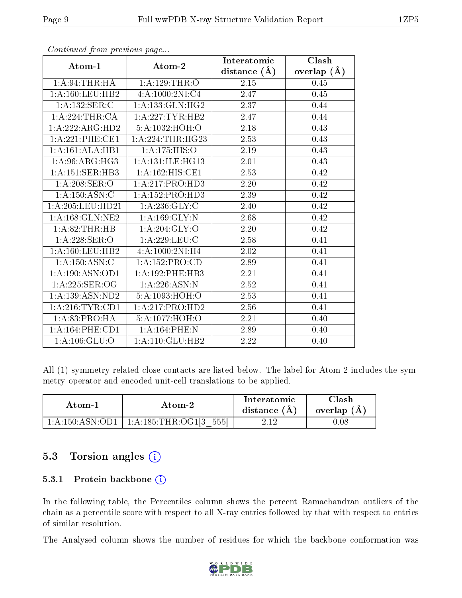|                     |                              | Interatomic    | Clash         |
|---------------------|------------------------------|----------------|---------------|
| Atom-1              | Atom-2                       | distance $(A)$ | overlap $(A)$ |
| 1:A:94:THR:HA       | 1:A:129:THR:O                | 2.15           | 0.45          |
| 1: A:160:LEU:HB2    | 4:A:1000:2NI:C4              | 2.47           | 0.45          |
| 1: A: 132: SER: C   | 1: A: 133: GLN: HG2          | 2.37           | 0.44          |
| 1:A:224:THR:CA      | 1:A:227:TYR:HB2              | 2.47           | 0.44          |
| 1:A:222:ARG:HD2     | 5: A:1032: HOH:O             | 2.18           | 0.43          |
| 1:A:221:PHE:CE1     | 1:A:224:THR:HG23             | 2.53           | 0.43          |
| 1:A:161:ALA:HB1     | 1: A: 175: HIS: O            | 2.19           | 0.43          |
| 1: A:96: ARG:HG3    | 1: A: 131: ILE: HG13         | 2.01           | 0.43          |
| 1:A:151:SER:HB3     | $1:A:162:\overline{HIS:CE1}$ | 2.53           | 0.42          |
| 1:A:208:SER:O       | 1:A:217:PRO:HD3              | 2.20           | 0.42          |
| 1:A:150:ASN:C       | 1:A:152:PRO:HD3              | 2.39           | 0.42          |
| 1:A:205:LEU:HD21    | 1: A:236: GLY: C             | 2.40           | 0.42          |
| 1: A: 168: GLN: NE2 | 1:A:169:GLY:N                | 2.68           | 0.42          |
| 1:A:82:THR:HB       | 1: A:204: GLY:O              | 2.20           | 0.42          |
| 1: A:228: SER:O     | 1: A:229:LEU:C               | 2.58           | 0.41          |
| 1: A:160:LEU:HB2    | 4:A:1000:2NI:H4              | 2.02           | 0.41          |
| 1:A:150:ASN:C       | 1:A:152:PRO:CD               | 2.89           | 0.41          |
| 1: A: 190: ASN: OD1 | 1: A:192:PHE:HB3             | 2.21           | 0.41          |
| 1:A:225:SER:OG      | 1:A:226:ASN:N                | 2.52           | 0.41          |
| $1:$ A:139:ASN:ND2  | 5: A:1093:HOH:O              | 2.53           | 0.41          |
| 1: A:216:TYR:CD1    | 1:A:217:PRO:HD2              | 2.56           | 0.41          |
| 1:A:83:PRO:HA       | 5: A:1077:HOH:O              | 2.21           | 0.40          |
| 1: A:164:PHE:CD1    | 1:A:164:PHE:N                | 2.89           | 0.40          |
| 1: A: 106: GLU:O    | 1:A:110:GLU:HB2              | 2.22           | 0.40          |

Continued from previous page...

All (1) symmetry-related close contacts are listed below. The label for Atom-2 includes the symmetry operator and encoded unit-cell translations to be applied.

| Atom-2          |                                      | Interatomic    | Clash       |
|-----------------|--------------------------------------|----------------|-------------|
| Atom-1          |                                      | distance $(A)$ | overlap (A) |
| 1:A:150:ASN:OD1 | $1:\!A:\!185:\!THR:\!OG1[3]$<br>5551 | വ ച            | D.O8        |

### 5.3 Torsion angles  $(i)$

#### 5.3.1 Protein backbone (i)

In the following table, the Percentiles column shows the percent Ramachandran outliers of the chain as a percentile score with respect to all X-ray entries followed by that with respect to entries of similar resolution.

The Analysed column shows the number of residues for which the backbone conformation was

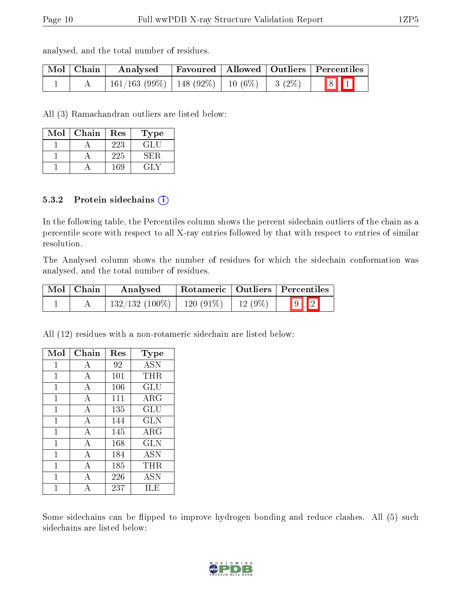analysed, and the total number of residues.

| Mol   Chain | Analysed                                           |  | Favoured   Allowed   Outliers   Percentiles                |
|-------------|----------------------------------------------------|--|------------------------------------------------------------|
|             | $161/163$ (99\%)   148 (92\%)   10 (6\%)   3 (2\%) |  | $\begin{array}{ c c c }\hline 8 & 1 \\ \hline \end{array}$ |

All (3) Ramachandran outliers are listed below:

| Mol | Chain | Res | Type |
|-----|-------|-----|------|
|     |       | 223 | GL L |
|     |       | 225 | SER  |
|     |       | 169 | EL N |

#### 5.3.2 Protein sidechains  $(i)$

In the following table, the Percentiles column shows the percent sidechain outliers of the chain as a percentile score with respect to all X-ray entries followed by that with respect to entries of similar resolution.

The Analysed column shows the number of residues for which the sidechain conformation was analysed, and the total number of residues.

| Mol   Chain | Analysed         |             |           | Rotameric   Outliers   Percentiles |  |
|-------------|------------------|-------------|-----------|------------------------------------|--|
|             | $132/132(100\%)$ | $120(91\%)$ | $12(9\%)$ | $\boxed{9}$ $\boxed{2}$            |  |

All (12) residues with a non-rotameric sidechain are listed below:

| Mol          | Chain | Res | <b>Type</b>       |
|--------------|-------|-----|-------------------|
| 1            | А     | 92  | <b>ASN</b>        |
| 1            | А     | 101 | THR               |
| 1            | А     | 106 | GLU               |
| 1            | А     | 111 | $\rm{ARG}$        |
| $\mathbf{1}$ | A     | 135 | GLU               |
| 1            | А     | 144 | <b>GLN</b>        |
| $\mathbf{1}$ | А     | 145 | $\rm{ARG}$        |
| 1            | А     | 168 | <b>GLN</b>        |
| 1            | А     | 184 | $\overline{A}$ SN |
| 1            | А     | 185 | THR.              |
| 1            | А     | 226 | <b>ASN</b>        |
|              | А     | 237 | ILE               |

Some sidechains can be flipped to improve hydrogen bonding and reduce clashes. All (5) such sidechains are listed below:

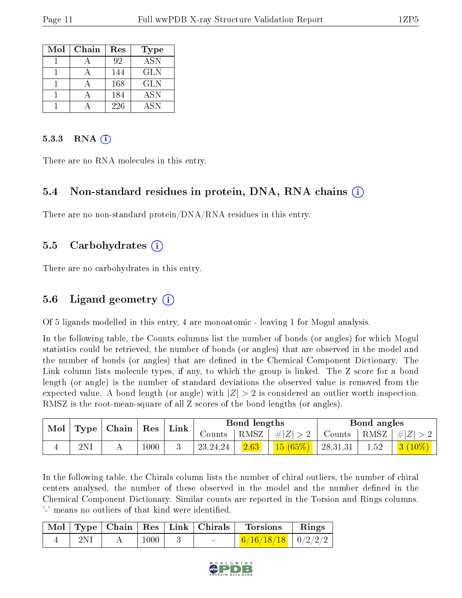| Mol | Chain | Res | <b>Type</b>      |
|-----|-------|-----|------------------|
|     |       | 92  | $\overline{ASN}$ |
|     |       | 144 | GLN              |
|     |       | 168 | <b>GLN</b>       |
|     |       | 184 | <b>ASN</b>       |
|     |       | 226 | <b>ASN</b>       |

#### $5.3.3$  RNA  $(i)$

There are no RNA molecules in this entry.

#### 5.4 Non-standard residues in protein, DNA, RNA chains (i)

There are no non-standard protein/DNA/RNA residues in this entry.

#### 5.5 Carbohydrates (i)

There are no carbohydrates in this entry.

#### 5.6 Ligand geometry  $(i)$

Of 5 ligands modelled in this entry, 4 are monoatomic - leaving 1 for Mogul analysis.

In the following table, the Counts columns list the number of bonds (or angles) for which Mogul statistics could be retrieved, the number of bonds (or angles) that are observed in the model and the number of bonds (or angles) that are defined in the Chemical Component Dictionary. The Link column lists molecule types, if any, to which the group is linked. The Z score for a bond length (or angle) is the number of standard deviations the observed value is removed from the expected value. A bond length (or angle) with  $|Z| > 2$  is considered an outlier worth inspection. RMSZ is the root-mean-square of all Z scores of the bond lengths (or angles).

| Mol<br>Type |           | Chain | $\operatorname{Res}$ | ${\rm Link}$ | Bond lengths |         | Bond angles |          |           |                |
|-------------|-----------|-------|----------------------|--------------|--------------|---------|-------------|----------|-----------|----------------|
|             |           |       | Counts               |              | RMSZ         | $\ H\ $ | Counts      | RMSZ     | $\pm  Z $ |                |
|             | $2\rm{N}$ |       | 1000                 |              | 23, 24, 24   | 2.63    | 15(65%)     | 28,31,31 | 1.52      | 3 <br>$10\%$ ) |

In the following table, the Chirals column lists the number of chiral outliers, the number of chiral centers analysed, the number of these observed in the model and the number defined in the Chemical Component Dictionary. Similar counts are reported in the Torsion and Rings columns. '-' means no outliers of that kind were identified.

|  |      | Mol   Type   Chain   $Res$   Link   Chirals | <b>Torsions</b>          | Rings |
|--|------|---------------------------------------------|--------------------------|-------|
|  | 1000 | <b>Contract Contract Contract</b>           | $6/16/18/18$   $0/2/2/2$ |       |

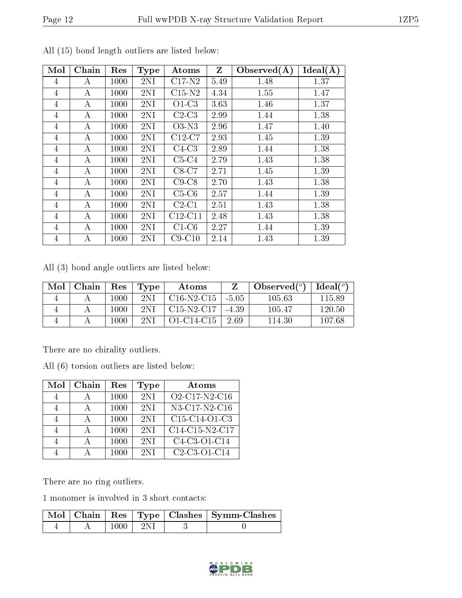| Mol            | Chain | Res  | <b>Type</b> | Atoms     | $Z_{\parallel}$ | Observed $(A)$ | Ideal(A) |
|----------------|-------|------|-------------|-----------|-----------------|----------------|----------|
| 4              | A     | 1000 | 2NI         | $C17-N2$  | 5.49            | 1.48           | 1.37     |
| 4              | А     | 1000 | 2NI         | $C15-N2$  | 4.34            | 1.55           | 1.47     |
| 4              | А     | 1000 | 2NI         | $O1-C3$   | 3.63            | 1.46           | 1.37     |
| 4              | А     | 1000 | 2NI         | $C2-C3$   | 2.99            | 1.44           | 1.38     |
| $\overline{4}$ | A     | 1000 | 2NI         | $O3-N3$   | 2.96            | 1.47           | 1.40     |
| 4              | А     | 1000 | 2NI         | $C12-C7$  | 2.93            | 1.45           | 1.39     |
| $\overline{4}$ | А     | 1000 | 2NI         | $C4-C3$   | 2.89            | 1.44           | 1.38     |
| 4              | A     | 1000 | 2NI         | $C5-C4$   | 2.79            | 1.43           | 1.38     |
| $\overline{4}$ | A     | 1000 | 2NI         | $C8-C7$   | 2.71            | 1.45           | 1.39     |
| 4              | А     | 1000 | 2NI         | $C9-C8$   | 2.70            | 1.43           | 1.38     |
| $\overline{4}$ | А     | 1000 | 2NI         | $C5-C6$   | 2.57            | 1.44           | 1.39     |
| 4              | А     | 1000 | 2NI         | $C2-C1$   | 2.51            | 1.43           | 1.38     |
| 4              | А     | 1000 | 2NI         | $C12-C11$ | 2.48            | 1.43           | 1.38     |
| 4              | А     | 1000 | 2NI         | $C1-C6$   | 2.27            | 1.44           | 1.39     |
| $\overline{4}$ | А     | 1000 | 2NI         | $C9-C10$  | 2.14            | 1.43           | 1.39     |

All (15) bond length outliers are listed below:

All (3) bond angle outliers are listed below:

| Mol | Chain | $\operatorname{Res}$ | Type | Atoms        |         | Observed $(°)$ | Ideal(°) |
|-----|-------|----------------------|------|--------------|---------|----------------|----------|
|     |       | 1000                 | 2NI  | $C16-N2-C15$ | $-5.05$ | 105.63         | 115.89   |
|     |       | 1000                 | 2NI  | C15-N2-C17   | $-4.39$ | 105.47         | 120.50   |
|     |       | 1000                 | 2NI  | O1-C14-C15   | 2.69    | 114.30         | 107.68   |

There are no chirality outliers.

All (6) torsion outliers are listed below:

| Mol | Chain | Res  | Type | Atoms                                                            |
|-----|-------|------|------|------------------------------------------------------------------|
|     |       | 1000 | 2NI  | O <sub>2</sub> -C <sub>17</sub> -N <sub>2</sub> -C <sub>16</sub> |
|     |       | 1000 | 2NI  | N3-C17-N2-C16                                                    |
|     |       | 1000 | 2NI  | C <sub>15</sub> -C <sub>14</sub> -O <sub>1</sub> -C <sub>3</sub> |
|     |       | 1000 | 2NI  | C14-C15-N2-C17                                                   |
|     |       | 1000 | 2NI  | C4-C3-O1-C14                                                     |
|     |       | 1000 | 2NI  | C <sub>2</sub> -C <sub>3</sub> -O <sub>1</sub> -C <sub>14</sub>  |

There are no ring outliers.

1 monomer is involved in 3 short contacts:

|  |           |  | Mol   Chain   Res   Type   Clashes   Symm-Clashes |
|--|-----------|--|---------------------------------------------------|
|  | $-1000 +$ |  |                                                   |

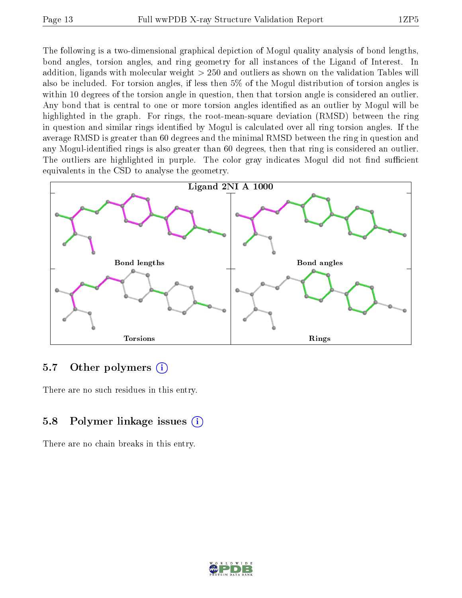The following is a two-dimensional graphical depiction of Mogul quality analysis of bond lengths, bond angles, torsion angles, and ring geometry for all instances of the Ligand of Interest. In addition, ligands with molecular weight > 250 and outliers as shown on the validation Tables will also be included. For torsion angles, if less then 5% of the Mogul distribution of torsion angles is within 10 degrees of the torsion angle in question, then that torsion angle is considered an outlier. Any bond that is central to one or more torsion angles identified as an outlier by Mogul will be highlighted in the graph. For rings, the root-mean-square deviation (RMSD) between the ring in question and similar rings identified by Mogul is calculated over all ring torsion angles. If the average RMSD is greater than 60 degrees and the minimal RMSD between the ring in question and any Mogul-identified rings is also greater than 60 degrees, then that ring is considered an outlier. The outliers are highlighted in purple. The color gray indicates Mogul did not find sufficient equivalents in the CSD to analyse the geometry.



#### 5.7 [O](https://www.wwpdb.org/validation/2017/XrayValidationReportHelp#nonstandard_residues_and_ligands)ther polymers (i)

There are no such residues in this entry.

### 5.8 Polymer linkage issues (i)

There are no chain breaks in this entry.

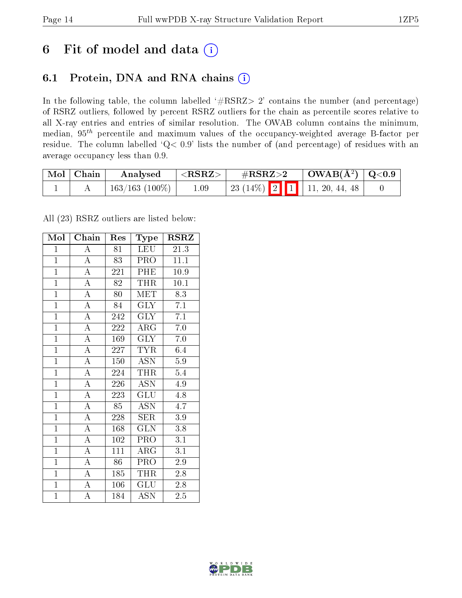# 6 Fit of model and data  $(i)$

### 6.1 Protein, DNA and RNA chains  $(i)$

In the following table, the column labelled  $#RSRZ> 2'$  contains the number (and percentage) of RSRZ outliers, followed by percent RSRZ outliers for the chain as percentile scores relative to all X-ray entries and entries of similar resolution. The OWAB column contains the minimum, median,  $95<sup>th</sup>$  percentile and maximum values of the occupancy-weighted average B-factor per residue. The column labelled ' $Q< 0.9$ ' lists the number of (and percentage) of residues with an average occupancy less than 0.9.

| Mol Chain | Analysed            | ${ <\hspace{-1.5pt}{\mathrm{RSRZ}} \hspace{-1.5pt}>}$ | $\rm \#RSRZ{>}2$                   | $\mid$ OWAB(Å <sup>2</sup> ) $\mid$ Q<0.9 |  |
|-----------|---------------------|-------------------------------------------------------|------------------------------------|-------------------------------------------|--|
|           | $163/163$ $(100\%)$ | $1.09\,$                                              | 23 (14\%)   2   1   11, 20, 44, 48 |                                           |  |

All (23) RSRZ outliers are listed below:

| Mol            | Chain              | Res | Type                      | <b>RSRZ</b>       |
|----------------|--------------------|-----|---------------------------|-------------------|
| $\mathbf{1}$   | $\boldsymbol{A}$   | 81  | LEU                       | 21.3              |
| $\mathbf{1}$   | $\overline{\rm A}$ | 83  | PRO                       | 11.1              |
| $\overline{1}$ | $\overline{A}$     | 221 | <b>PHE</b>                | $\overline{10.9}$ |
| $\overline{1}$ | $\overline{\rm A}$ | 82  | THR                       | 10.1              |
| $\overline{1}$ | $\overline{A}$     | 80  | <b>MET</b>                | $\overline{8.3}$  |
| $\overline{1}$ | $\overline{\rm A}$ | 84  | <b>GLY</b>                | 7.1               |
| $\overline{1}$ | $\overline{A}$     | 242 | <b>GLY</b>                | 7.1               |
| $\overline{1}$ | $\overline{A}$     | 222 | $\rm{ARG}$                | 7.0               |
| $\mathbf{1}$   | $\overline{A}$     | 169 | <b>GLY</b>                | 7.0               |
| $\overline{1}$ | $\overline{\rm A}$ | 227 | <b>TYR</b>                | 6.4               |
| $\mathbf{1}$   | $\overline{A}$     | 150 | <b>ASN</b>                | $\overline{5.9}$  |
| $\overline{1}$ | $\overline{\rm A}$ | 224 | <b>THR</b>                | 5.4               |
| $\overline{1}$ | $\overline{A}$     | 226 | $\overline{\text{ASN}}$   | 4.9               |
| $\mathbf{1}$   | $\overline{\rm A}$ | 223 | $\widetilde{{\rm GLU}}$   | 4.8               |
| $\overline{1}$ | $\overline{A}$     | 85  | <b>ASN</b>                | 4.7               |
| $\overline{1}$ | $\overline{\rm A}$ | 228 | <b>SER</b>                | 3.9               |
| $\overline{1}$ | $\overline{A}$     | 168 | $\overline{\text{GLN}}$   | 3.8               |
| $\overline{1}$ | $\overline{\rm A}$ | 102 | PRO                       | 3.1               |
| $\overline{1}$ | $\overline{\rm A}$ | 111 | $\rm{ARG}$                | 3.1               |
| $\overline{1}$ | $\overline{A}$     | 86  | PRO                       | $2.9\,$           |
| $\overline{1}$ | $\overline{\rm A}$ | 185 | THR                       | 2.8               |
| $\overline{1}$ | $\overline{A}$     | 106 | $\overline{\mathrm{GLU}}$ | 2.8               |
| $\mathbf{1}$   | $\overline{A}$     | 184 | $\overline{A}$ SN         | $2.5\,$           |

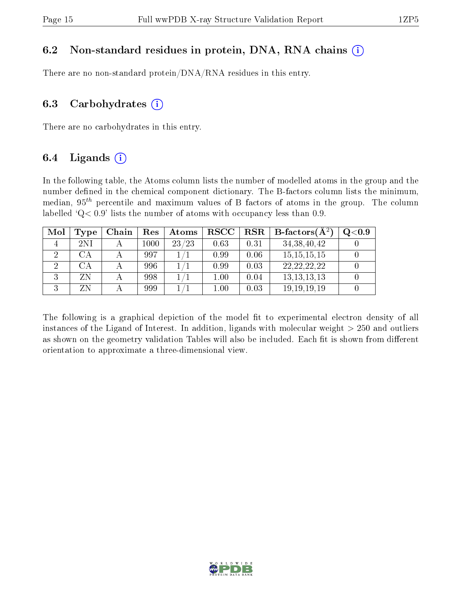#### 6.2 Non-standard residues in protein, DNA, RNA chains  $(i)$

There are no non-standard protein/DNA/RNA residues in this entry.

#### 6.3 Carbohydrates  $(i)$

There are no carbohydrates in this entry.

### 6.4 Ligands  $(i)$

In the following table, the Atoms column lists the number of modelled atoms in the group and the number defined in the chemical component dictionary. The B-factors column lists the minimum, median,  $95<sup>th</sup>$  percentile and maximum values of B factors of atoms in the group. The column labelled  $Q < 0.9$ ' lists the number of atoms with occupancy less than 0.9.

| Mol | Type                   | Chain | $\operatorname{Res}% \left( \mathcal{N}\right) \equiv\operatorname{Res}(\mathcal{N}_{0})\cap\mathcal{N}_{1}$ | Atoms | <b>RSCC</b> | $_{\rm RSR}$ | <b>B</b> -factors $(\overline{A^2})$ | Q <sub>0.9</sub> |
|-----|------------------------|-------|--------------------------------------------------------------------------------------------------------------|-------|-------------|--------------|--------------------------------------|------------------|
|     | 2NI                    |       | $1000\,$                                                                                                     | 23/23 | 0.63        | 0.31         | 34, 38, 40, 42                       |                  |
|     | СA                     |       | 997                                                                                                          |       | 0.99        | 0.06         | 15, 15, 15, 15                       |                  |
|     | $\mathbb{C}\mathrm{A}$ |       | 996                                                                                                          |       | 0.99        | 0.03         | 22, 22, 22, 22                       |                  |
|     | ΖN                     |       | 998                                                                                                          |       | $1.00\,$    | 0.04         | 13, 13, 13, 13                       |                  |
|     | ΖN                     |       | 999                                                                                                          |       | $1.00\,$    | 0.03         | 19, 19, 19, 19                       |                  |

The following is a graphical depiction of the model fit to experimental electron density of all instances of the Ligand of Interest. In addition, ligands with molecular weight  $> 250$  and outliers as shown on the geometry validation Tables will also be included. Each fit is shown from different orientation to approximate a three-dimensional view.